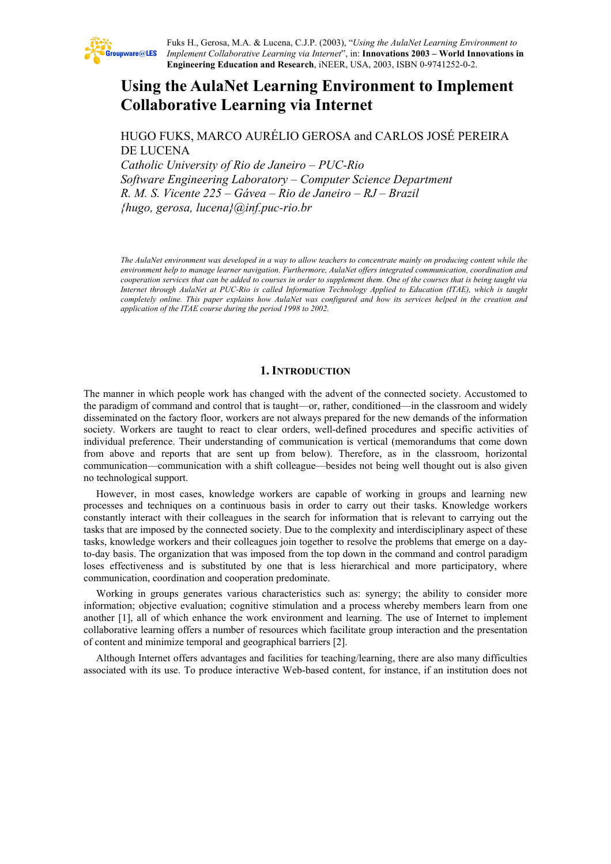

Fuks H., Gerosa, M.A. & Lucena, C.J.P. (2003), "*Using the AulaNet Learning Environment to Implement Collaborative Learning via Internet*", in: **Innovations 2003 – World Innovations in Engineering Education and Research**, iNEER, USA, 2003, ISBN 0-9741252-0-2.

# **Using the AulaNet Learning Environment to Implement Collaborative Learning via Internet**

HUGO FUKS, MARCO AURÉLIO GEROSA and CARLOS JOSÉ PEREIRA DE LUCENA

*Catholic University of Rio de Janeiro – PUC-Rio Software Engineering Laboratory – Computer Science Department R. M. S. Vicente 225 – Gávea – Rio de Janeiro – RJ – Brazil {hugo, gerosa, lucena}@inf.puc-rio.br* 

*The AulaNet environment was developed in a way to allow teachers to concentrate mainly on producing content while the environment help to manage learner navigation. Furthermore, AulaNet offers integrated communication, coordination and cooperation services that can be added to courses in order to supplement them. One of the courses that is being taught via Internet through AulaNet at PUC-Rio is called Information Technology Applied to Education (ITAE), which is taught completely online. This paper explains how AulaNet was configured and how its services helped in the creation and application of the ITAE course during the period 1998 to 2002.* 

#### **1. INTRODUCTION**

The manner in which people work has changed with the advent of the connected society. Accustomed to the paradigm of command and control that is taught—or, rather, conditioned—in the classroom and widely disseminated on the factory floor, workers are not always prepared for the new demands of the information society. Workers are taught to react to clear orders, well-defined procedures and specific activities of individual preference. Their understanding of communication is vertical (memorandums that come down from above and reports that are sent up from below). Therefore, as in the classroom, horizontal communication—communication with a shift colleague—besides not being well thought out is also given no technological support.

However, in most cases, knowledge workers are capable of working in groups and learning new processes and techniques on a continuous basis in order to carry out their tasks. Knowledge workers constantly interact with their colleagues in the search for information that is relevant to carrying out the tasks that are imposed by the connected society. Due to the complexity and interdisciplinary aspect of these tasks, knowledge workers and their colleagues join together to resolve the problems that emerge on a dayto-day basis. The organization that was imposed from the top down in the command and control paradigm loses effectiveness and is substituted by one that is less hierarchical and more participatory, where communication, coordination and cooperation predominate.

Working in groups generates various characteristics such as: synergy; the ability to consider more information; objective evaluation; cognitive stimulation and a process whereby members learn from one another [1], all of which enhance the work environment and learning. The use of Internet to implement collaborative learning offers a number of resources which facilitate group interaction and the presentation of content and minimize temporal and geographical barriers [2].

Although Internet offers advantages and facilities for teaching/learning, there are also many difficulties associated with its use. To produce interactive Web-based content, for instance, if an institution does not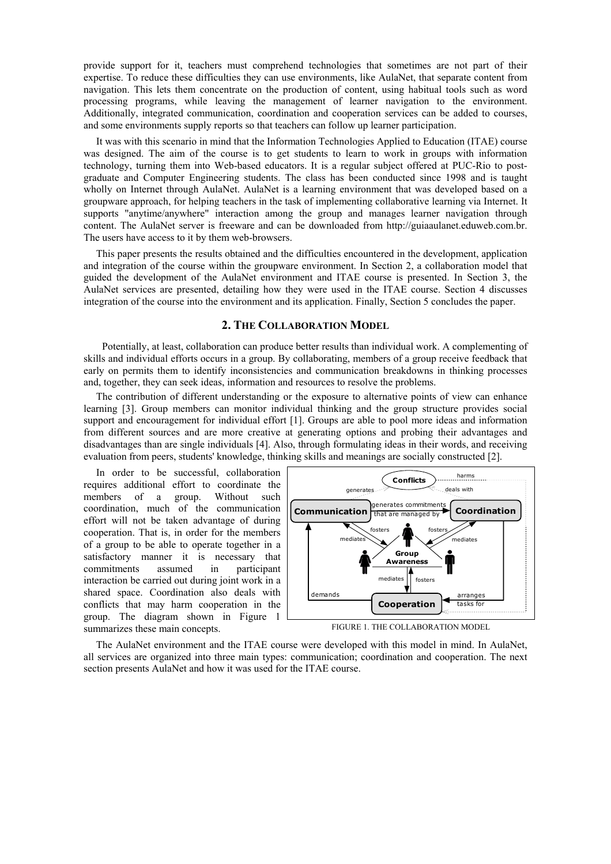provide support for it, teachers must comprehend technologies that sometimes are not part of their expertise. To reduce these difficulties they can use environments, like AulaNet, that separate content from navigation. This lets them concentrate on the production of content, using habitual tools such as word processing programs, while leaving the management of learner navigation to the environment. Additionally, integrated communication, coordination and cooperation services can be added to courses, and some environments supply reports so that teachers can follow up learner participation.

It was with this scenario in mind that the Information Technologies Applied to Education (ITAE) course was designed. The aim of the course is to get students to learn to work in groups with information technology, turning them into Web-based educators. It is a regular subject offered at PUC-Rio to postgraduate and Computer Engineering students. The class has been conducted since 1998 and is taught wholly on Internet through AulaNet. AulaNet is a learning environment that was developed based on a groupware approach, for helping teachers in the task of implementing collaborative learning via Internet. It supports "anytime/anywhere" interaction among the group and manages learner navigation through content. The AulaNet server is freeware and can be downloaded from http://guiaaulanet.eduweb.com.br. The users have access to it by them web-browsers.

This paper presents the results obtained and the difficulties encountered in the development, application and integration of the course within the groupware environment. In Section 2, a collaboration model that guided the development of the AulaNet environment and ITAE course is presented. In Section 3, the AulaNet services are presented, detailing how they were used in the ITAE course. Section 4 discusses integration of the course into the environment and its application. Finally, Section 5 concludes the paper.

### **2. THE COLLABORATION MODEL**

Potentially, at least, collaboration can produce better results than individual work. A complementing of skills and individual efforts occurs in a group. By collaborating, members of a group receive feedback that early on permits them to identify inconsistencies and communication breakdowns in thinking processes and, together, they can seek ideas, information and resources to resolve the problems.

The contribution of different understanding or the exposure to alternative points of view can enhance learning [3]. Group members can monitor individual thinking and the group structure provides social support and encouragement for individual effort [1]. Groups are able to pool more ideas and information from different sources and are more creative at generating options and probing their advantages and disadvantages than are single individuals [4]. Also, through formulating ideas in their words, and receiving evaluation from peers, students' knowledge, thinking skills and meanings are socially constructed [2].

In order to be successful, collaboration requires additional effort to coordinate the members of a group. Without such coordination, much of the communication effort will not be taken advantage of during cooperation. That is, in order for the members of a group to be able to operate together in a satisfactory manner it is necessary that commitments assumed in participant interaction be carried out during joint work in a shared space. Coordination also deals with conflicts that may harm cooperation in the group. The diagram shown in Figure 1 summarizes these main concepts.



FIGURE 1. THE COLLABORATION MODEL

The AulaNet environment and the ITAE course were developed with this model in mind. In AulaNet, all services are organized into three main types: communication; coordination and cooperation. The next section presents AulaNet and how it was used for the ITAE course.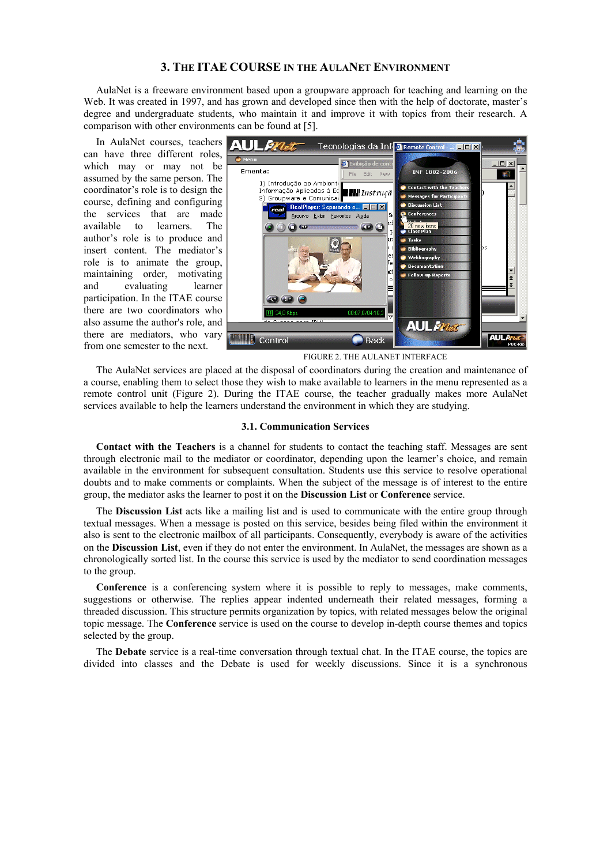# **3. THE ITAE COURSE IN THE AULANET ENVIRONMENT**

AulaNet is a freeware environment based upon a groupware approach for teaching and learning on the Web. It was created in 1997, and has grown and developed since then with the help of doctorate, master's degree and undergraduate students, who maintain it and improve it with topics from their research. A comparison with other environments can be found at [5].

In AulaNet courses, teachers **ALI** can have three different roles, which may or may not be assumed by the same person. The coordinator's role is to design the course, defining and configuring the services that are made available to learners. The author's role is to produce and insert content. The mediator's role is to animate the group, maintaining order, motivating and evaluating learner participation. In the ITAE course there are two coordinators who also assume the author's role, and there are mediators, who vary from one semester to the next.



FIGURE 2. THE AULANET INTERFACE

The AulaNet services are placed at the disposal of coordinators during the creation and maintenance of a course, enabling them to select those they wish to make available to learners in the menu represented as a remote control unit (Figure 2). During the ITAE course, the teacher gradually makes more AulaNet services available to help the learners understand the environment in which they are studying.

#### **3.1. Communication Services**

**Contact with the Teachers** is a channel for students to contact the teaching staff. Messages are sent through electronic mail to the mediator or coordinator, depending upon the learner's choice, and remain available in the environment for subsequent consultation. Students use this service to resolve operational doubts and to make comments or complaints. When the subject of the message is of interest to the entire group, the mediator asks the learner to post it on the **Discussion List** or **Conference** service.

The **Discussion List** acts like a mailing list and is used to communicate with the entire group through textual messages. When a message is posted on this service, besides being filed within the environment it also is sent to the electronic mailbox of all participants. Consequently, everybody is aware of the activities on the **Discussion List**, even if they do not enter the environment. In AulaNet, the messages are shown as a chronologically sorted list. In the course this service is used by the mediator to send coordination messages to the group.

**Conference** is a conferencing system where it is possible to reply to messages, make comments, suggestions or otherwise. The replies appear indented underneath their related messages, forming a threaded discussion. This structure permits organization by topics, with related messages below the original topic message. The **Conference** service is used on the course to develop in-depth course themes and topics selected by the group.

The **Debate** service is a real-time conversation through textual chat. In the ITAE course, the topics are divided into classes and the Debate is used for weekly discussions. Since it is a synchronous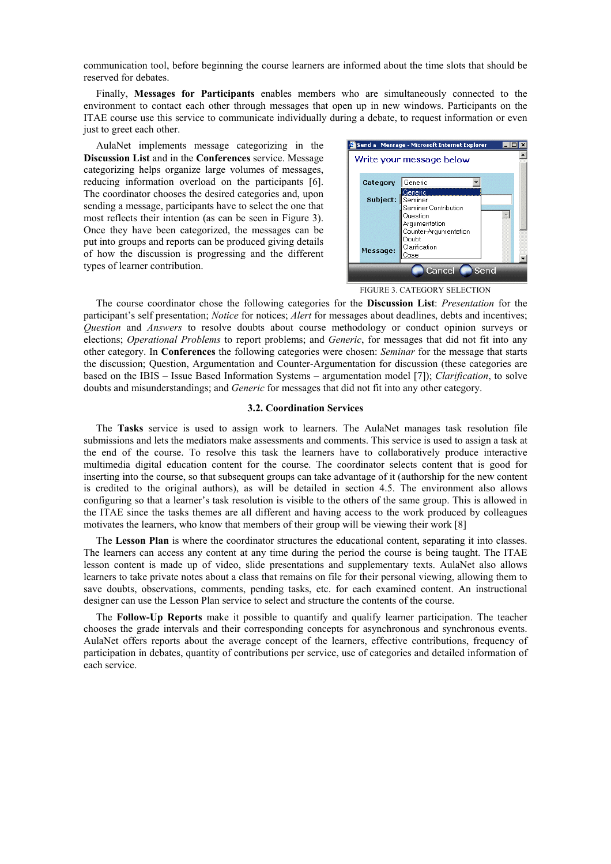communication tool, before beginning the course learners are informed about the time slots that should be reserved for debates.

Finally, **Messages for Participants** enables members who are simultaneously connected to the environment to contact each other through messages that open up in new windows. Participants on the ITAE course use this service to communicate individually during a debate, to request information or even just to greet each other.

AulaNet implements message categorizing in the **Discussion List** and in the **Conferences** service. Message categorizing helps organize large volumes of messages, reducing information overload on the participants [6]. The coordinator chooses the desired categories and, upon sending a message, participants have to select the one that most reflects their intention (as can be seen in Figure 3). Once they have been categorized, the messages can be put into groups and reports can be produced giving details of how the discussion is progressing and the different types of learner contribution.



FIGURE 3. CATEGORY SELECTION

The course coordinator chose the following categories for the **Discussion List**: *Presentation* for the participant's self presentation; *Notice* for notices; *Alert* for messages about deadlines, debts and incentives; *Question* and *Answers* to resolve doubts about course methodology or conduct opinion surveys or elections; *Operational Problems* to report problems; and *Generic*, for messages that did not fit into any other category. In **Conferences** the following categories were chosen: *Seminar* for the message that starts the discussion; Question, Argumentation and Counter-Argumentation for discussion (these categories are based on the IBIS – Issue Based Information Systems – argumentation model [7]); *Clarification*, to solve doubts and misunderstandings; and *Generic* for messages that did not fit into any other category.

#### **3.2. Coordination Services**

The **Tasks** service is used to assign work to learners. The AulaNet manages task resolution file submissions and lets the mediators make assessments and comments. This service is used to assign a task at the end of the course. To resolve this task the learners have to collaboratively produce interactive multimedia digital education content for the course. The coordinator selects content that is good for inserting into the course, so that subsequent groups can take advantage of it (authorship for the new content is credited to the original authors), as will be detailed in section 4.5. The environment also allows configuring so that a learner's task resolution is visible to the others of the same group. This is allowed in the ITAE since the tasks themes are all different and having access to the work produced by colleagues motivates the learners, who know that members of their group will be viewing their work [8]

The **Lesson Plan** is where the coordinator structures the educational content, separating it into classes. The learners can access any content at any time during the period the course is being taught. The ITAE lesson content is made up of video, slide presentations and supplementary texts. AulaNet also allows learners to take private notes about a class that remains on file for their personal viewing, allowing them to save doubts, observations, comments, pending tasks, etc. for each examined content. An instructional designer can use the Lesson Plan service to select and structure the contents of the course.

The **Follow-Up Reports** make it possible to quantify and qualify learner participation. The teacher chooses the grade intervals and their corresponding concepts for asynchronous and synchronous events. AulaNet offers reports about the average concept of the learners, effective contributions, frequency of participation in debates, quantity of contributions per service, use of categories and detailed information of each service.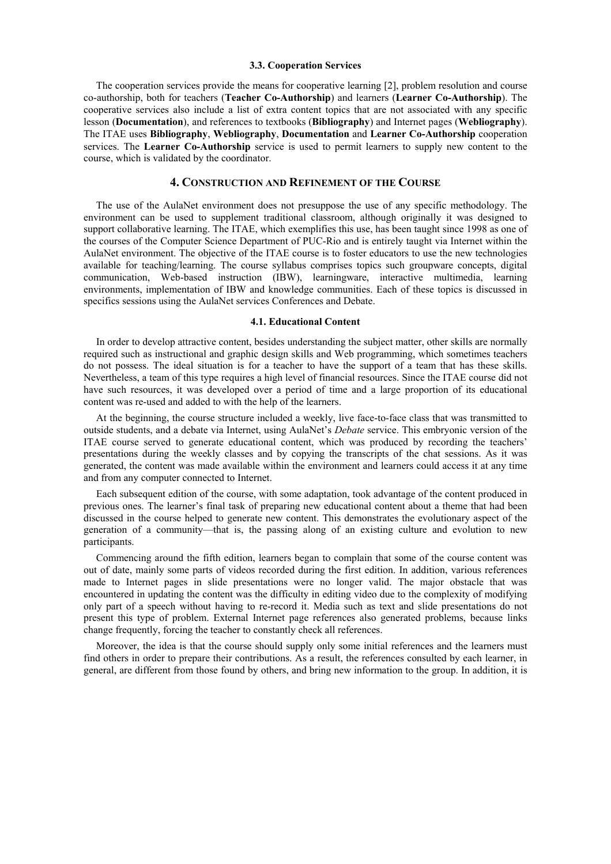#### **3.3. Cooperation Services**

The cooperation services provide the means for cooperative learning [2], problem resolution and course co-authorship, both for teachers (**Teacher Co-Authorship**) and learners (**Learner Co-Authorship**). The cooperative services also include a list of extra content topics that are not associated with any specific lesson (**Documentation**), and references to textbooks (**Bibliography**) and Internet pages (**Webliography**). The ITAE uses **Bibliography**, **Webliography**, **Documentation** and **Learner Co-Authorship** cooperation services. The **Learner Co-Authorship** service is used to permit learners to supply new content to the course, which is validated by the coordinator.

# **4. CONSTRUCTION AND REFINEMENT OF THE COURSE**

The use of the AulaNet environment does not presuppose the use of any specific methodology. The environment can be used to supplement traditional classroom, although originally it was designed to support collaborative learning. The ITAE, which exemplifies this use, has been taught since 1998 as one of the courses of the Computer Science Department of PUC-Rio and is entirely taught via Internet within the AulaNet environment. The objective of the ITAE course is to foster educators to use the new technologies available for teaching/learning. The course syllabus comprises topics such groupware concepts, digital communication, Web-based instruction (IBW), learningware, interactive multimedia, learning environments, implementation of IBW and knowledge communities. Each of these topics is discussed in specifics sessions using the AulaNet services Conferences and Debate.

#### **4.1. Educational Content**

In order to develop attractive content, besides understanding the subject matter, other skills are normally required such as instructional and graphic design skills and Web programming, which sometimes teachers do not possess. The ideal situation is for a teacher to have the support of a team that has these skills. Nevertheless, a team of this type requires a high level of financial resources. Since the ITAE course did not have such resources, it was developed over a period of time and a large proportion of its educational content was re-used and added to with the help of the learners.

At the beginning, the course structure included a weekly, live face-to-face class that was transmitted to outside students, and a debate via Internet, using AulaNet's *Debate* service. This embryonic version of the ITAE course served to generate educational content, which was produced by recording the teachers' presentations during the weekly classes and by copying the transcripts of the chat sessions. As it was generated, the content was made available within the environment and learners could access it at any time and from any computer connected to Internet.

Each subsequent edition of the course, with some adaptation, took advantage of the content produced in previous ones. The learner's final task of preparing new educational content about a theme that had been discussed in the course helped to generate new content. This demonstrates the evolutionary aspect of the generation of a community—that is, the passing along of an existing culture and evolution to new participants.

Commencing around the fifth edition, learners began to complain that some of the course content was out of date, mainly some parts of videos recorded during the first edition. In addition, various references made to Internet pages in slide presentations were no longer valid. The major obstacle that was encountered in updating the content was the difficulty in editing video due to the complexity of modifying only part of a speech without having to re-record it. Media such as text and slide presentations do not present this type of problem. External Internet page references also generated problems, because links change frequently, forcing the teacher to constantly check all references.

Moreover, the idea is that the course should supply only some initial references and the learners must find others in order to prepare their contributions. As a result, the references consulted by each learner, in general, are different from those found by others, and bring new information to the group. In addition, it is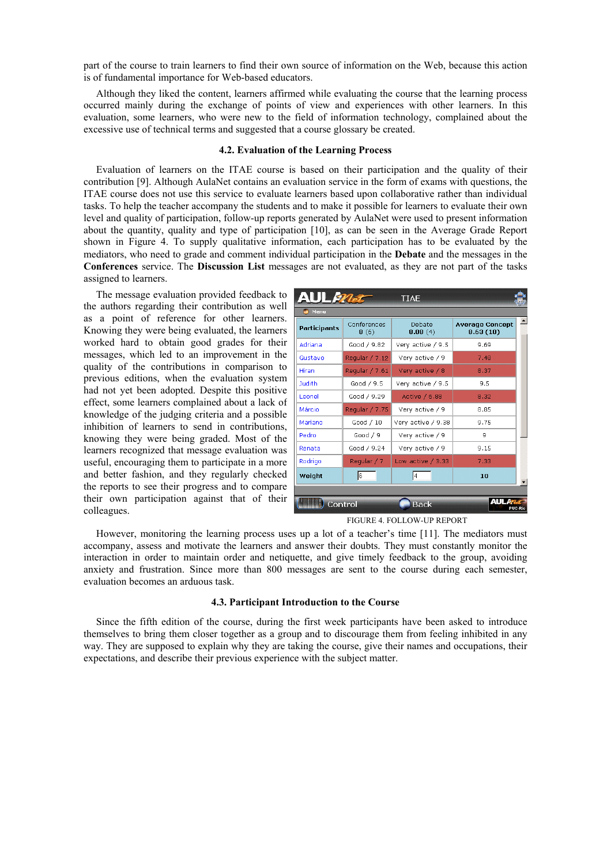part of the course to train learners to find their own source of information on the Web, because this action is of fundamental importance for Web-based educators.

Although they liked the content, learners affirmed while evaluating the course that the learning process occurred mainly during the exchange of points of view and experiences with other learners. In this evaluation, some learners, who were new to the field of information technology, complained about the excessive use of technical terms and suggested that a course glossary be created.

#### **4.2. Evaluation of the Learning Process**

Evaluation of learners on the ITAE course is based on their participation and the quality of their contribution [9]. Although AulaNet contains an evaluation service in the form of exams with questions, the ITAE course does not use this service to evaluate learners based upon collaborative rather than individual tasks. To help the teacher accompany the students and to make it possible for learners to evaluate their own level and quality of participation, follow-up reports generated by AulaNet were used to present information about the quantity, quality and type of participation [10], as can be seen in the Average Grade Report shown in Figure 4. To supply qualitative information, each participation has to be evaluated by the mediators, who need to grade and comment individual participation in the **Debate** and the messages in the **Conferences** service. The **Discussion List** messages are not evaluated, as they are not part of the tasks assigned to learners.

The message evaluation provided feedback to the authors regarding their contribution as well as a point of reference for other learners. Knowing they were being evaluated, the learners worked hard to obtain good grades for their messages, which led to an improvement in the quality of the contributions in comparison to previous editions, when the evaluation system had not yet been adopted. Despite this positive effect, some learners complained about a lack of knowledge of the judging criteria and a possible inhibition of learners to send in contributions, knowing they were being graded. Most of the learners recognized that message evaluation was useful, encouraging them to participate in a more and better fashion, and they regularly checked the reports to see their progress and to compare their own participation against that of their colleagues.

| <b>AUL<i>mat</i></b>   |                     | <b>TIAE</b>         |                                    |  |
|------------------------|---------------------|---------------------|------------------------------------|--|
| Menu                   |                     |                     |                                    |  |
| Participants           | Conferences<br>8(6) | Debate<br>8.08(4)   | <b>Average Concept</b><br>8.63(10) |  |
| Adriana                | Good / 9.82         | Very active / 9.5   | 9.69                               |  |
| Gustavo                | Regular / 7.12      | Very active / 9     | 7.48                               |  |
| <b>Hiran</b>           | Regular / 7.61      | Very active / 8     | 8.37                               |  |
| <b>Judith</b>          | Good / 9.5          | Very active / 9.5   | 9.5                                |  |
| Leonel                 | Good / 9.29         | Active / 6.88       | 8.32                               |  |
| Márcio                 | Regular / 7.75      | Very active / 9     | 8.85                               |  |
| Mariano                | Good / 10           | Very active / 9.38  | 9.75                               |  |
| Pedro                  | Good / 9            | Very active / 9     | q                                  |  |
| Renata                 | Good / 9.24         | Very active / 9     | 9.15                               |  |
| Rodrigo                | Reqular / 7         | Low active $/ 3.33$ | 7.33                               |  |
| Weight                 | 6                   | 4                   | 10 <sub>1</sub>                    |  |
|                        |                     |                     |                                    |  |
| <b>Back</b><br>Control |                     |                     |                                    |  |

FIGURE 4. FOLLOW-UP REPORT

However, monitoring the learning process uses up a lot of a teacher's time [11]. The mediators must accompany, assess and motivate the learners and answer their doubts. They must constantly monitor the interaction in order to maintain order and netiquette, and give timely feedback to the group, avoiding anxiety and frustration. Since more than 800 messages are sent to the course during each semester, evaluation becomes an arduous task.

## **4.3. Participant Introduction to the Course**

Since the fifth edition of the course, during the first week participants have been asked to introduce themselves to bring them closer together as a group and to discourage them from feeling inhibited in any way. They are supposed to explain why they are taking the course, give their names and occupations, their expectations, and describe their previous experience with the subject matter.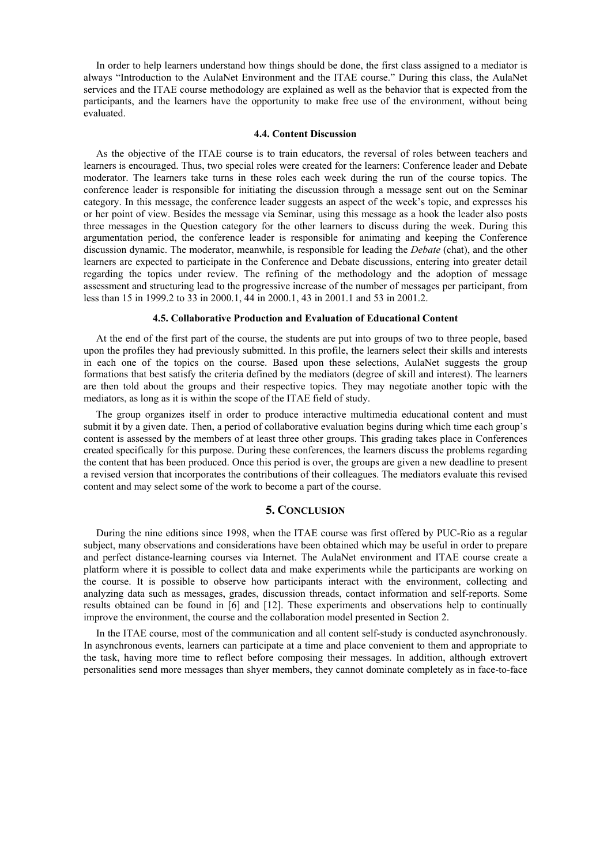In order to help learners understand how things should be done, the first class assigned to a mediator is always "Introduction to the AulaNet Environment and the ITAE course." During this class, the AulaNet services and the ITAE course methodology are explained as well as the behavior that is expected from the participants, and the learners have the opportunity to make free use of the environment, without being evaluated.

# **4.4. Content Discussion**

As the objective of the ITAE course is to train educators, the reversal of roles between teachers and learners is encouraged. Thus, two special roles were created for the learners: Conference leader and Debate moderator. The learners take turns in these roles each week during the run of the course topics. The conference leader is responsible for initiating the discussion through a message sent out on the Seminar category. In this message, the conference leader suggests an aspect of the week's topic, and expresses his or her point of view. Besides the message via Seminar, using this message as a hook the leader also posts three messages in the Question category for the other learners to discuss during the week. During this argumentation period, the conference leader is responsible for animating and keeping the Conference discussion dynamic. The moderator, meanwhile, is responsible for leading the *Debate* (chat), and the other learners are expected to participate in the Conference and Debate discussions, entering into greater detail regarding the topics under review. The refining of the methodology and the adoption of message assessment and structuring lead to the progressive increase of the number of messages per participant, from less than 15 in 1999.2 to 33 in 2000.1, 44 in 2000.1, 43 in 2001.1 and 53 in 2001.2.

#### **4.5. Collaborative Production and Evaluation of Educational Content**

At the end of the first part of the course, the students are put into groups of two to three people, based upon the profiles they had previously submitted. In this profile, the learners select their skills and interests in each one of the topics on the course. Based upon these selections, AulaNet suggests the group formations that best satisfy the criteria defined by the mediators (degree of skill and interest). The learners are then told about the groups and their respective topics. They may negotiate another topic with the mediators, as long as it is within the scope of the ITAE field of study.

The group organizes itself in order to produce interactive multimedia educational content and must submit it by a given date. Then, a period of collaborative evaluation begins during which time each group's content is assessed by the members of at least three other groups. This grading takes place in Conferences created specifically for this purpose. During these conferences, the learners discuss the problems regarding the content that has been produced. Once this period is over, the groups are given a new deadline to present a revised version that incorporates the contributions of their colleagues. The mediators evaluate this revised content and may select some of the work to become a part of the course.

# **5. CONCLUSION**

During the nine editions since 1998, when the ITAE course was first offered by PUC-Rio as a regular subject, many observations and considerations have been obtained which may be useful in order to prepare and perfect distance-learning courses via Internet. The AulaNet environment and ITAE course create a platform where it is possible to collect data and make experiments while the participants are working on the course. It is possible to observe how participants interact with the environment, collecting and analyzing data such as messages, grades, discussion threads, contact information and self-reports. Some results obtained can be found in [6] and [12]. These experiments and observations help to continually improve the environment, the course and the collaboration model presented in Section 2.

In the ITAE course, most of the communication and all content self-study is conducted asynchronously. In asynchronous events, learners can participate at a time and place convenient to them and appropriate to the task, having more time to reflect before composing their messages. In addition, although extrovert personalities send more messages than shyer members, they cannot dominate completely as in face-to-face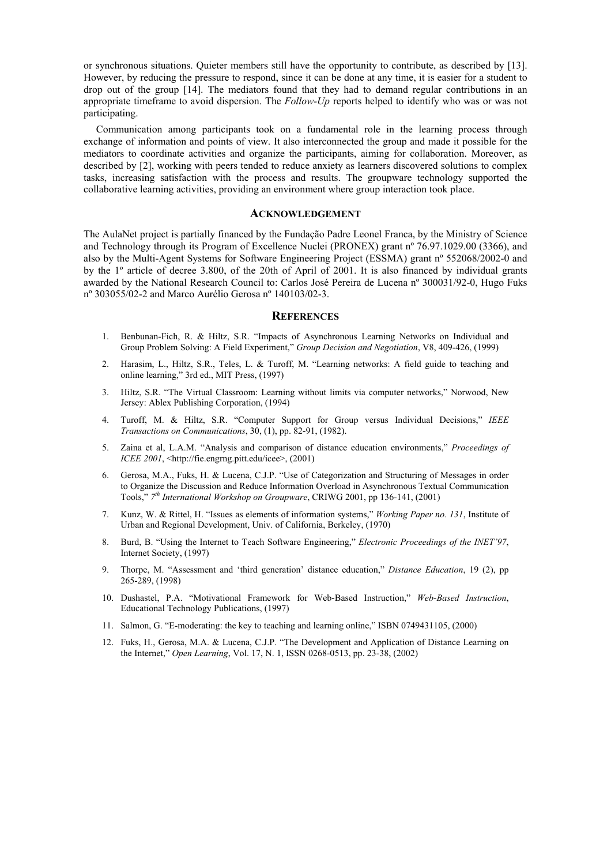or synchronous situations. Quieter members still have the opportunity to contribute, as described by [13]. However, by reducing the pressure to respond, since it can be done at any time, it is easier for a student to drop out of the group [14]. The mediators found that they had to demand regular contributions in an appropriate timeframe to avoid dispersion. The *Follow-Up* reports helped to identify who was or was not participating.

Communication among participants took on a fundamental role in the learning process through exchange of information and points of view. It also interconnected the group and made it possible for the mediators to coordinate activities and organize the participants, aiming for collaboration. Moreover, as described by [2], working with peers tended to reduce anxiety as learners discovered solutions to complex tasks, increasing satisfaction with the process and results. The groupware technology supported the collaborative learning activities, providing an environment where group interaction took place.

#### **ACKNOWLEDGEMENT**

The AulaNet project is partially financed by the Fundação Padre Leonel Franca, by the Ministry of Science and Technology through its Program of Excellence Nuclei (PRONEX) grant nº 76.97.1029.00 (3366), and also by the Multi-Agent Systems for Software Engineering Project (ESSMA) grant nº 552068/2002-0 and by the 1º article of decree 3.800, of the 20th of April of 2001. It is also financed by individual grants awarded by the National Research Council to: Carlos José Pereira de Lucena nº 300031/92-0, Hugo Fuks nº 303055/02-2 and Marco Aurélio Gerosa nº 140103/02-3.

#### **REFERENCES**

- 1. Benbunan-Fich, R. & Hiltz, S.R. "Impacts of Asynchronous Learning Networks on Individual and Group Problem Solving: A Field Experiment," *Group Decision and Negotiation*, V8, 409-426, (1999)
- 2. Harasim, L., Hiltz, S.R., Teles, L. & Turoff, M. "Learning networks: A field guide to teaching and online learning," 3rd ed., MIT Press, (1997)
- 3. Hiltz, S.R. "The Virtual Classroom: Learning without limits via computer networks," Norwood, New Jersey: Ablex Publishing Corporation, (1994)
- 4. Turoff, M. & Hiltz, S.R. "Computer Support for Group versus Individual Decisions," *IEEE Transactions on Communications*, 30, (1), pp. 82-91, (1982).
- 5. Zaina et al, L.A.M. "Analysis and comparison of distance education environments," *Proceedings of ICEE 2001*, <http://fie.engrng.pitt.edu/icee>, (2001)
- 6. Gerosa, M.A., Fuks, H. & Lucena, C.J.P. "Use of Categorization and Structuring of Messages in order to Organize the Discussion and Reduce Information Overload in Asynchronous Textual Communication Tools," *7th International Workshop on Groupware*, CRIWG 2001, pp 136-141, (2001)
- 7. Kunz, W. & Rittel, H. "Issues as elements of information systems," *Working Paper no. 131*, Institute of Urban and Regional Development, Univ. of California, Berkeley, (1970)
- 8. Burd, B. "Using the Internet to Teach Software Engineering," *Electronic Proceedings of the INET'97*, Internet Society, (1997)
- 9. Thorpe, M. "Assessment and 'third generation' distance education," *Distance Education*, 19 (2), pp 265-289, (1998)
- 10. Dushastel, P.A. "Motivational Framework for Web-Based Instruction," *Web-Based Instruction*, Educational Technology Publications, (1997)
- 11. Salmon, G. "E-moderating: the key to teaching and learning online," ISBN 0749431105, (2000)
- 12. Fuks, H., Gerosa, M.A. & Lucena, C.J.P. "The Development and Application of Distance Learning on the Internet," *Open Learning*, Vol. 17, N. 1, ISSN 0268-0513, pp. 23-38, (2002)